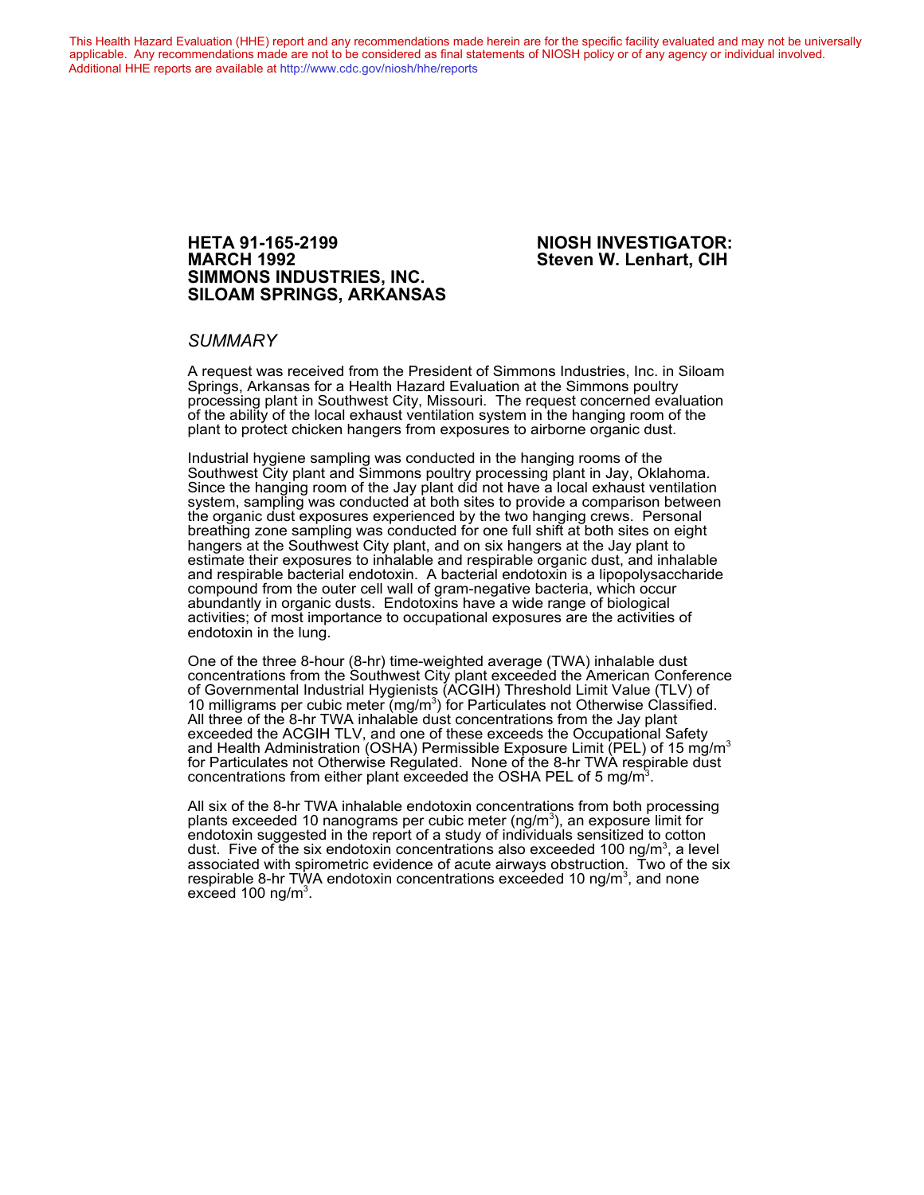This Health Hazard Evaluation (HHE) report and any recommendations made herein are for the specific facility evaluated and may not be universally applicable. Any recommendations made are not to be considered as final statements of NIOSH policy or of any agency or individual involved. Additional HHE reports are available at <http://www.cdc.gov/niosh/hhe/reports> Additional HHE reports are available at <http://www.cdc.gov/niosh/hhe/reports>

#### **HETA 91-165-2199 NIOSH INVESTIGATOR: MARCH 1992 Steven W. Lenhart, CIH SIMMONS INDUSTRIES, INC. SILOAM SPRINGS, ARKANSAS**

#### *SUMMARY*

A request was received from the President of Simmons Industries, Inc. in Siloam Springs, Arkansas for a Health Hazard Evaluation at the Simmons poultry processing plant in Southwest City, Missouri. The request concerned evaluation of the ability of the local exhaust ventilation system in the hanging room of the plant to protect chicken hangers from exposures to airborne organic dust.

Industrial hygiene sampling was conducted in the hanging rooms of the Southwest City plant and Simmons poultry processing plant in Jay, Oklahoma. Since the hanging room of the Jay plant did not have a local exhaust ventilation system, sampling was conducted at both sites to provide a comparison between the organic dust exposures experienced by the two hanging crews. Personal breathing zone sampling was conducted for one full shift at both sites on eight hangers at the Southwest City plant, and on six hangers at the Jay plant to estimate their exposures to inhalable and respirable organic dust, and inhalable and respirable bacterial endotoxin. A bacterial endotoxin is a lipopolysaccharide compound from the outer cell wall of gram-negative bacteria, which occur abundantly in organic dusts. Endotoxins have a wide range of biological activities; of most importance to occupational exposures are the activities of endotoxin in the lung.

One of the three 8-hour (8-hr) time-weighted average (TWA) inhalable dust concentrations from the Southwest City plant exceeded the American Conference of Governmental Industrial Hygienists (ACGIH) Threshold Limit Value (TLV) of 10 milligrams per cubic meter (mg/m<sup>3</sup>) for Particulates not Otherwise Classified. All three of the 8-hr TWA inhalable dust concentrations from the Jay plant exceeded the ACGIH TLV, and one of these exceeds the Occupational Safety and Health Administration (OSHA) Permissible Exposure Limit (PEL) of 15 mg/m<sup>3</sup> for Particulates not Otherwise Regulated. None of the 8-hr TWA respirable dust concentrations from either plant exceeded the OSHA PEL of 5 mg/m<sup>3</sup>.

All six of the 8-hr TWA inhalable endotoxin concentrations from both processing plants exceeded 10 nanograms per cubic meter (ng/m<sup>3</sup>), an exposure limit for endotoxin suggested in the report of a study of individuals sensitized to cotton dust. Five of the six endotoxin concentrations also exceeded 100 ng/m<sup>3</sup>, a level associated with spirometric evidence of acute airways obstruction. Two of the six respirable 8-hr TWA endotoxin concentrations exceeded 10 ng/m<sup>3</sup>, and none exceed 100 ng/m $3$ .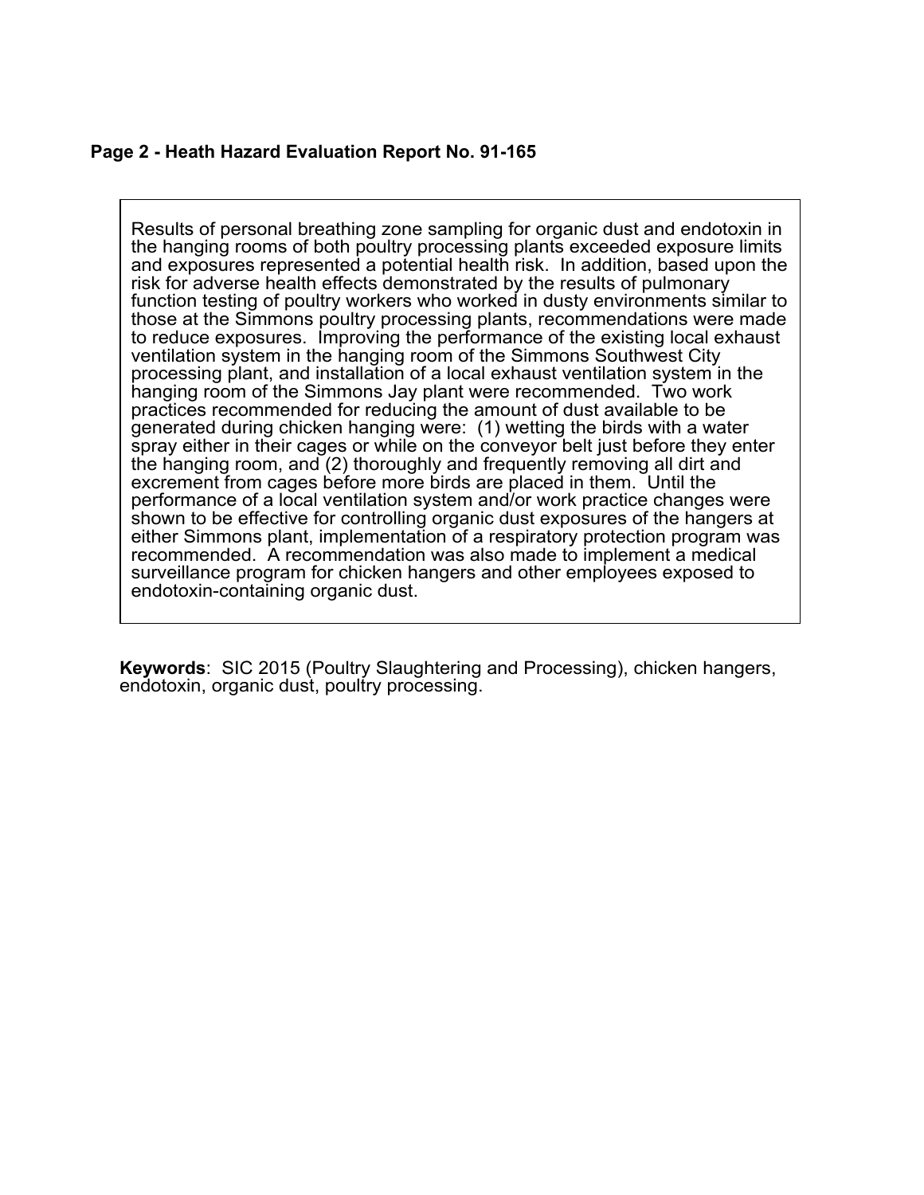#### **Page 2 - Heath Hazard Evaluation Report No. 91-165**

Results of personal breathing zone sampling for organic dust and endotoxin in the hanging rooms of both poultry processing plants exceeded exposure limits and exposures represented a potential health risk. In addition, based upon the risk for adverse health effects demonstrated by the results of pulmonary function testing of poultry workers who worked in dusty environments similar to those at the Simmons poultry processing plants, recommendations were made to reduce exposures. Improving the performance of the existing local exhaust ventilation system in the hanging room of the Simmons Southwest City processing plant, and installation of a local exhaust ventilation system in the hanging room of the Simmons Jay plant were recommended. Two work practices recommended for reducing the amount of dust available to be generated during chicken hanging were: (1) wetting the birds with a water spray either in their cages or while on the conveyor belt just before they enter the hanging room, and (2) thoroughly and frequently removing all dirt and excrement from cages before more birds are placed in them. Until the performance of a local ventilation system and/or work practice changes were shown to be effective for controlling organic dust exposures of the hangers at either Simmons plant, implementation of a respiratory protection program was recommended. A recommendation was also made to implement a medical surveillance program for chicken hangers and other employees exposed to endotoxin-containing organic dust.

**Keywords**: SIC 2015 (Poultry Slaughtering and Processing), chicken hangers, endotoxin, organic dust, poultry processing.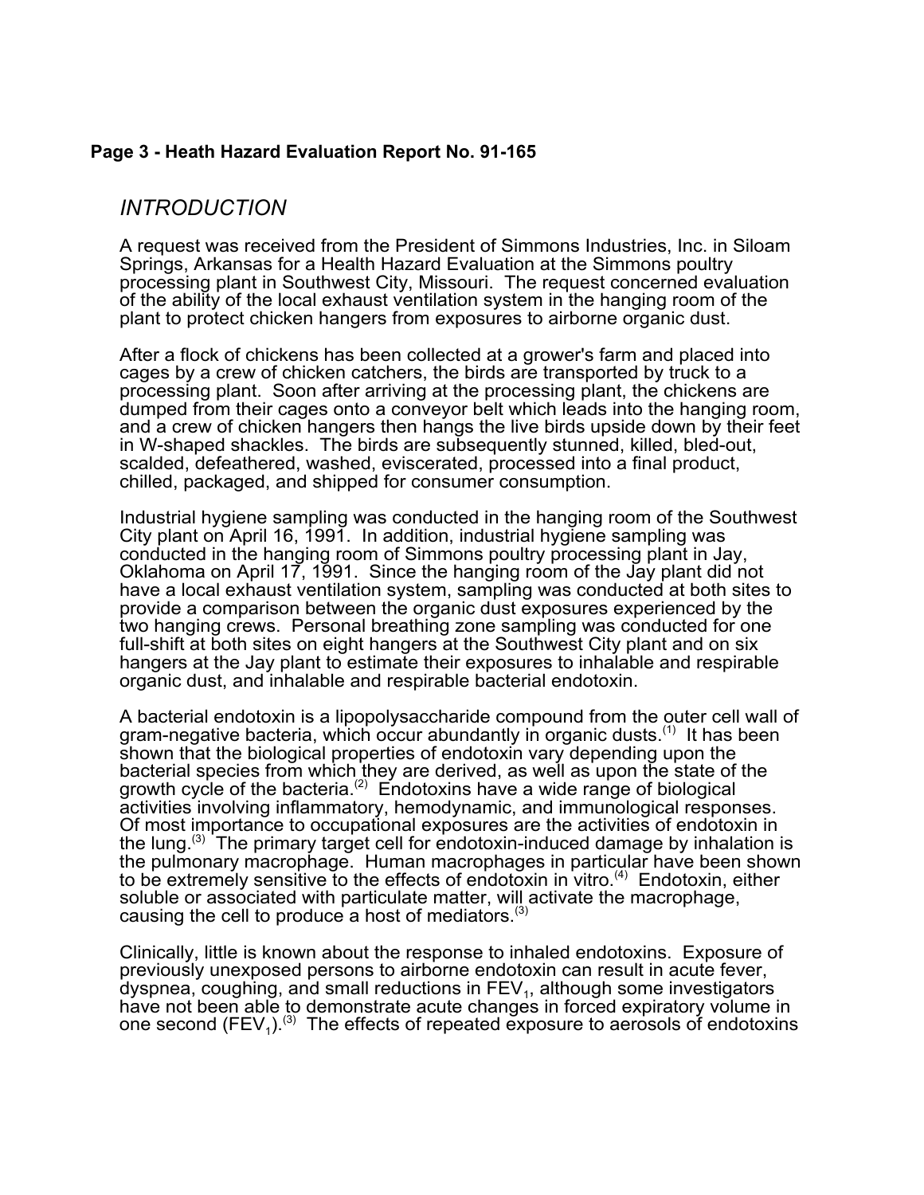#### **Page 3 - Heath Hazard Evaluation Report No. 91-165**

#### *INTRODUCTION*

A request was received from the President of Simmons Industries, Inc. in Siloam Springs, Arkansas for a Health Hazard Evaluation at the Simmons poultry processing plant in Southwest City, Missouri. The request concerned evaluation of the ability of the local exhaust ventilation system in the hanging room of the plant to protect chicken hangers from exposures to airborne organic dust.

After a flock of chickens has been collected at a grower's farm and placed into cages by a crew of chicken catchers, the birds are transported by truck to a processing plant. Soon after arriving at the processing plant, the chickens are dumped from their cages onto a conveyor belt which leads into the hanging room, and a crew of chicken hangers then hangs the live birds upside down by their feet in W-shaped shackles. The birds are subsequently stunned, killed, bled-out, scalded, defeathered, washed, eviscerated, processed into a final product, chilled, packaged, and shipped for consumer consumption.

Industrial hygiene sampling was conducted in the hanging room of the Southwest City plant on April 16, 1991. In addition, industrial hygiene sampling was conducted in the hanging room of Simmons poultry processing plant in Jay, Oklahoma on April 17, 1991. Since the hanging room of the Jay plant did not have a local exhaust ventilation system, sampling was conducted at both sites to provide a comparison between the organic dust exposures experienced by the two hanging crews. Personal breathing zone sampling was conducted for one full-shift at both sites on eight hangers at the Southwest City plant and on six hangers at the Jay plant to estimate their exposures to inhalable and respirable organic dust, and inhalable and respirable bacterial endotoxin.

A bacterial endotoxin is a lipopolysaccharide compound from the outer cell wall of gram-negative bacteria, which occur abundantly in organic dusts.<sup>(1)</sup> It has been shown that the biological properties of endotoxin vary depending upon the bacterial species from which they are derived, as well as upon the state of the growth cycle of the bacteria.<sup>(2)</sup> Endotoxins have a wide range of biological activities involving inflammatory, hemodynamic, and immunological responses. Of most importance to occupational exposures are the activities of endotoxin in the lung.<sup>(3)</sup> The primary target cell for endotoxin-induced damage by inhalation is the pulmonary macrophage. Human macrophages in particular have been shown to be extremely sensitive to the effects of endotoxin in vitro.<sup>(4)</sup> Endotoxin, either soluble or associated with particulate matter, will activate the macrophage, causing the cell to produce a host of mediators.  $(3)$ 

Clinically, little is known about the response to inhaled endotoxins. Exposure of previously unexposed persons to airborne endotoxin can result in acute fever, dyspnea, coughing, and small reductions in  $FEV<sub>1</sub>$ , although some investigators have not been able to demonstrate acute changes in forced expiratory volume in one second (FEV $_1$ ). $^{\scriptsize{(3)}}$  The effects of repeated exposure to aerosols of endotoxins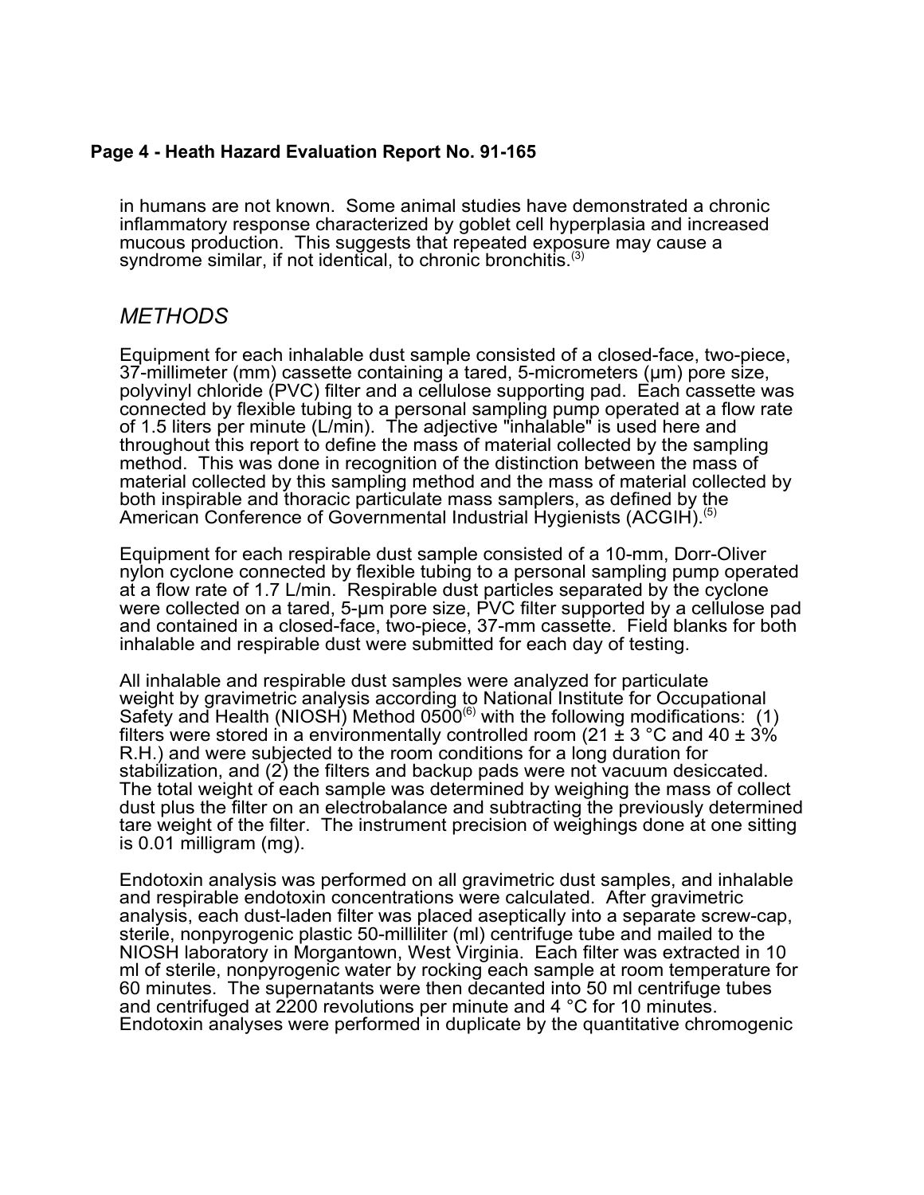#### **Page 4 - Heath Hazard Evaluation Report No. 91-165**

in humans are not known. Some animal studies have demonstrated a chronic inflammatory response characterized by goblet cell hyperplasia and increased mucous production. This suggests that repeated exposure may cause a syndrome similar, if not identical, to chronic bronchitis. $(3)$ 

#### *METHODS*

Equipment for each inhalable dust sample consisted of a closed-face, two-piece, 37-millimeter (mm) cassette containing a tared, 5-micrometers (µm) pore size, polyvinyl chloride (PVC) filter and a cellulose supporting pad. Each cassette was connected by flexible tubing to a personal sampling pump operated at a flow rate of 1.5 liters per minute (L/min). The adjective "inhalable" is used here and throughout this report to define the mass of material collected by the sampling method. This was done in recognition of the distinction between the mass of material collected by this sampling method and the mass of material collected by both inspirable and thoracic particulate mass samplers, as defined by the American Conference of Governmental Industrial Hygienists (ACGIH).<sup>(5)</sup>

Equipment for each respirable dust sample consisted of a 10-mm, Dorr-Oliver nylon cyclone connected by flexible tubing to a personal sampling pump operated at a flow rate of 1.7 L/min. Respirable dust particles separated by the cyclone were collected on a tared, 5-µm pore size, PVC filter supported by a cellulose pad and contained in a closed-face, two-piece, 37-mm cassette. Field blanks for both inhalable and respirable dust were submitted for each day of testing.

All inhalable and respirable dust samples were analyzed for particulate weight by gravimetric analysis according to National Institute for Occupational Safety and Health (NIOSH) Method  $0500^{(6)}$  with the following modifications: (1) filters were stored in a environmentally controlled room (21  $\pm$  3 °C and 40  $\pm$  3% R.H.) and were subjected to the room conditions for a long duration for stabilization, and (2) the filters and backup pads were not vacuum desiccated. The total weight of each sample was determined by weighing the mass of collect dust plus the filter on an electrobalance and subtracting the previously determined tare weight of the filter. The instrument precision of weighings done at one sitting is 0.01 milligram (mg).

Endotoxin analysis was performed on all gravimetric dust samples, and inhalable and respirable endotoxin concentrations were calculated. After gravimetric analysis, each dust-laden filter was placed aseptically into a separate screw-cap, sterile, nonpyrogenic plastic 50-milliliter (ml) centrifuge tube and mailed to the NIOSH laboratory in Morgantown, West Virginia. Each filter was extracted in 10 ml of sterile, nonpyrogenic water by rocking each sample at room temperature for 60 minutes. The supernatants were then decanted into 50 ml centrifuge tubes and centrifuged at 2200 revolutions per minute and 4 °C for 10 minutes. Endotoxin analyses were performed in duplicate by the quantitative chromogenic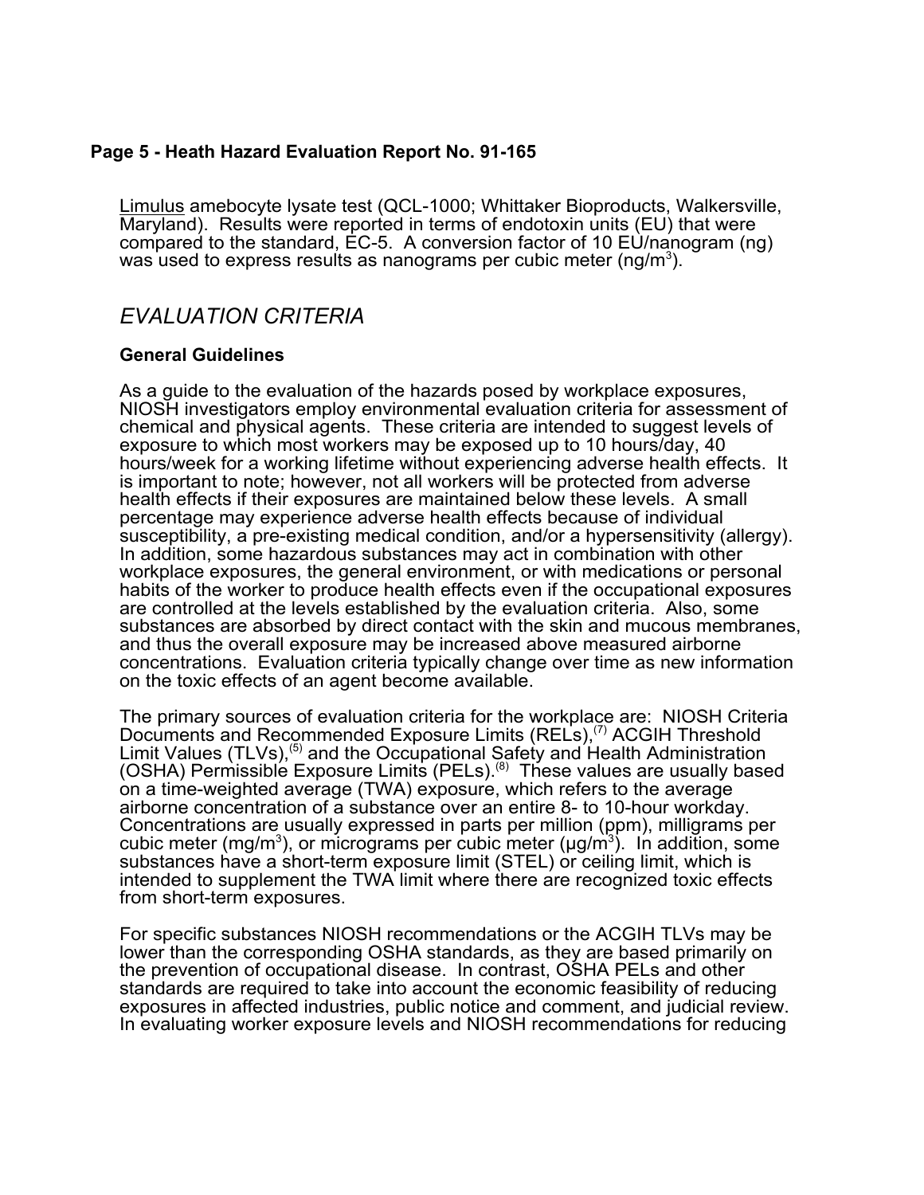#### **Page 5 - Heath Hazard Evaluation Report No. 91-165**

Limulus amebocyte lysate test (QCL-1000; Whittaker Bioproducts, Walkersville, Maryland). Results were reported in terms of endotoxin units (EU) that were compared to the standard, EC-5. A conversion factor of 10 EU/nanogram (ng) was used to express results as nanograms per cubic meter (ng/m<sup>3</sup>).

#### *EVALUATION CRITERIA*

#### **General Guidelines**

As a guide to the evaluation of the hazards posed by workplace exposures, NIOSH investigators employ environmental evaluation criteria for assessment of chemical and physical agents. These criteria are intended to suggest levels of exposure to which most workers may be exposed up to 10 hours/day, 40 hours/week for a working lifetime without experiencing adverse health effects. It is important to note; however, not all workers will be protected from adverse health effects if their exposures are maintained below these levels. A small percentage may experience adverse health effects because of individual susceptibility, a pre-existing medical condition, and/or a hypersensitivity (allergy). In addition, some hazardous substances may act in combination with other workplace exposures, the general environment, or with medications or personal habits of the worker to produce health effects even if the occupational exposures are controlled at the levels established by the evaluation criteria. Also, some substances are absorbed by direct contact with the skin and mucous membranes, and thus the overall exposure may be increased above measured airborne concentrations. Evaluation criteria typically change over time as new information on the toxic effects of an agent become available.

The primary sources of evaluation criteria for the workplace are: NIOSH Criteria Documents and Recommended Exposure Limits (RELs),<sup>(7)</sup> ACGIH Threshold Limit Values (TLVs),<sup>(5)</sup> and the Occupational Safety and Health Administration (OSHA) Permissible Exposure Limits (PELs).<sup>(8)</sup> These values are usually based on a time-weighted average (TWA) exposure, which refers to the average airborne concentration of a substance over an entire 8- to 10-hour workday. Concentrations are usually expressed in parts per million (ppm), milligrams per cubic meter (mg/m<sup>3</sup>), or micrograms per cubic meter (µg/m3). In addition, some substances have a short-term exposure limit (STEL) or ceiling limit, which is intended to supplement the TWA limit where there are recognized toxic effects from short-term exposures.

For specific substances NIOSH recommendations or the ACGIH TLVs may be lower than the corresponding OSHA standards, as they are based primarily on the prevention of occupational disease. In contrast, OSHA PELs and other standards are required to take into account the economic feasibility of reducing exposures in affected industries, public notice and comment, and judicial review. In evaluating worker exposure levels and NIOSH recommendations for reducing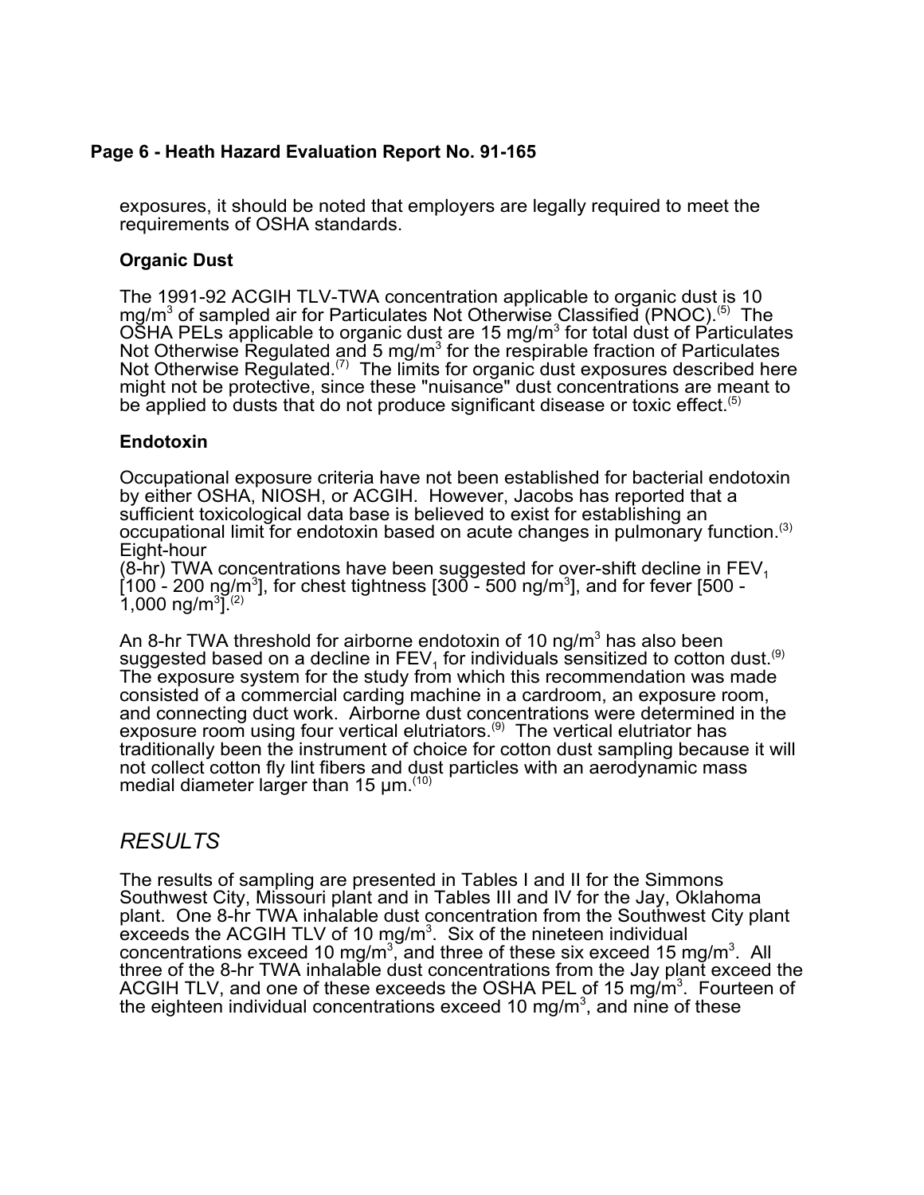#### **Page 6 - Heath Hazard Evaluation Report No. 91-165**

exposures, it should be noted that employers are legally required to meet the requirements of OSHA standards.

#### **Organic Dust**

The 1991-92 ACGIH TLV-TWA concentration applicable to organic dust is 10 mg/m<sup>3</sup> of sampled air for Particulates Not Otherwise Classified (PNOC).<sup>(5)</sup> The OSHA PELs applicable to organic dust are 15 mg/m<sup>3</sup> for total dust of Particulates Not Otherwise Regulated and 5 mg/m<sup>3</sup> for the respirable fraction of Particulates Not Otherwise Regulated.<sup>(7)</sup> The limits for organic dust exposures described here might not be protective, since these "nuisance" dust concentrations are meant to be applied to dusts that do not produce significant disease or toxic effect. $(5)$ 

#### **Endotoxin**

Occupational exposure criteria have not been established for bacterial endotoxin by either OSHA, NIOSH, or ACGIH. However, Jacobs has reported that a sufficient toxicological data base is believed to exist for establishing an occupational limit for endotoxin based on acute changes in pulmonary function.<sup>(3)</sup> Eight-hour

(8-hr) TWA concentrations have been suggested for over-shift decline in  $FEV<sub>1</sub>$ [100 - 200 ng/m<sup>3</sup>], for chest tightness [300 - 500 ng/m<sup>3</sup>], and for fever [500 -1,000 ng/m<sup>3</sup> $^{\left[ (2)\right] }$ 

An 8-hr TWA threshold for airborne endotoxin of 10 ng/m<sup>3</sup> has also been suggested based on a decline in  $FEV<sub>4</sub>$  for individuals sensitized to cotton dust.<sup>(9)</sup> The exposure system for the study from which this recommendation was made consisted of a commercial carding machine in a cardroom, an exposure room, and connecting duct work. Airborne dust concentrations were determined in the exposure room using four vertical elutriators.<sup>(9)</sup> The vertical elutriator has traditionally been the instrument of choice for cotton dust sampling because it will not collect cotton fly lint fibers and dust particles with an aerodynamic mass medial diameter larger than 15  $\mu$ m.<sup>(10)</sup>

### *RESULTS*

The results of sampling are presented in Tables I and II for the Simmons Southwest City, Missouri plant and in Tables III and IV for the Jay, Oklahoma plant. One 8-hr TWA inhalable dust concentration from the Southwest City plant exceeds the ACGIH TLV of 10 mg/m<sup>3</sup>. Six of the nineteen individual concentrations exceed 10 mg/m<sup>3</sup>, and three of these six exceed 15 mg/m<sup>3</sup>. All three of the 8-hr TWA inhalable dust concentrations from the Jay plant exceed the ACGIH TLV, and one of these exceeds the OSHA PEL of 15 mg/m<sup>3</sup>. Fourteen of the eighteen individual concentrations exceed 10 mg/m<sup>3</sup>, and nine of these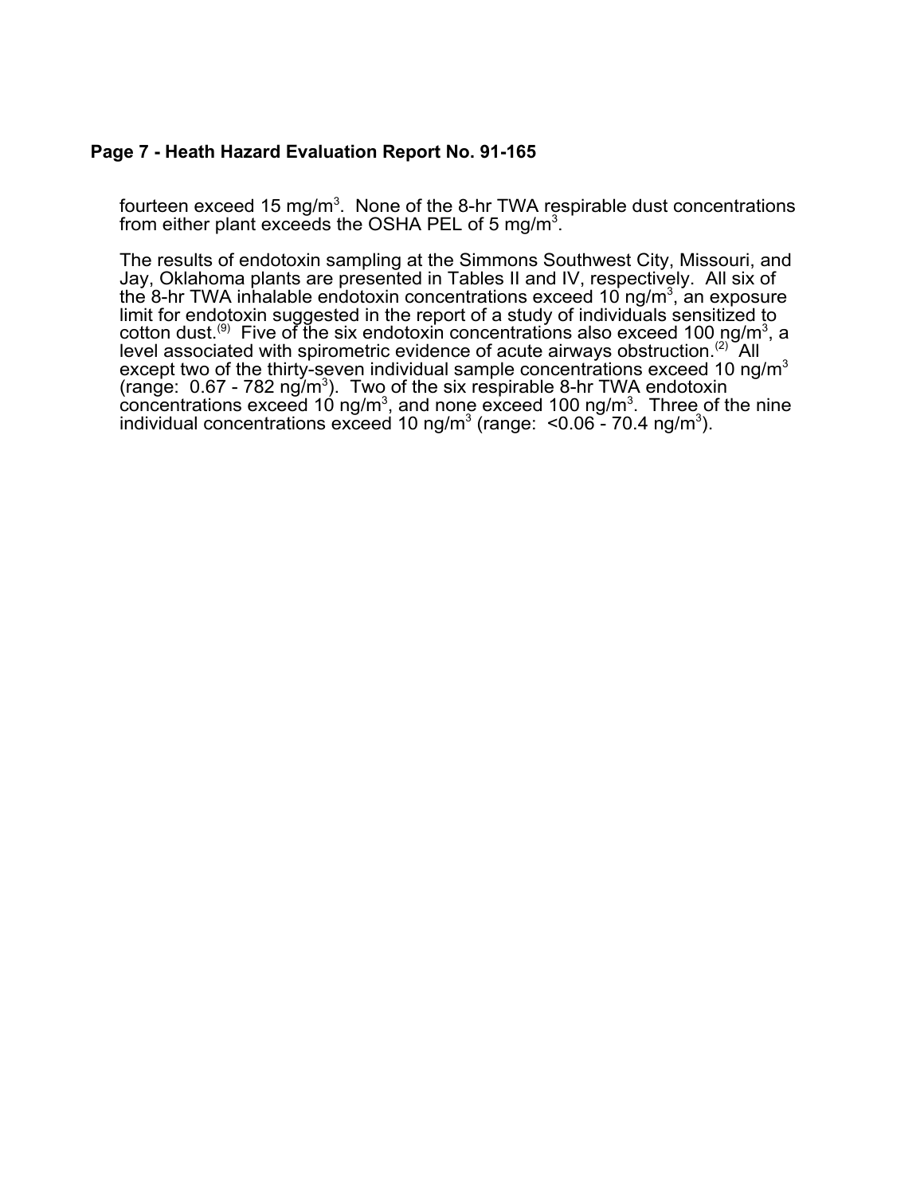#### **Page 7 - Heath Hazard Evaluation Report No. 91-165**

fourteen exceed 15 mg/m<sup>3</sup>. None of the 8-hr TWA respirable dust concentrations from either plant exceeds the OSHA PEL of 5 mg/m<sup>3</sup>.

The results of endotoxin sampling at the Simmons Southwest City, Missouri, and Jay, Oklahoma plants are presented in Tables II and IV, respectively. All six of the 8-hr TWA inhalable endotoxin concentrations exceed 10 ng/m<sup>3</sup>, an exposure limit for endotoxin suggested in the report of a study of individuals sensitized to cotton dust.<sup>(9)</sup> Five of the six endotoxin concentrations also exceed 100 ng/m<sup>3</sup>, a level associated with spirometric evidence of acute airways obstruction.<sup>(2)</sup> All except two of the thirty-seven individual sample concentrations exceed 10 ng/ $m<sup>3</sup>$ (range:  $0.67 - 782$  ng/m<sup>3</sup>). Two of the six respirable 8-hr TWA endotoxin concentrations exceed 10 ng/m<sup>3</sup>, and none exceed 100 ng/m<sup>3</sup>. Three of the nine individual concentrations exceed 10 ng/m<sup>3</sup> (range:  $\leq 0.06 - 70.4$  ng/m<sup>3</sup>).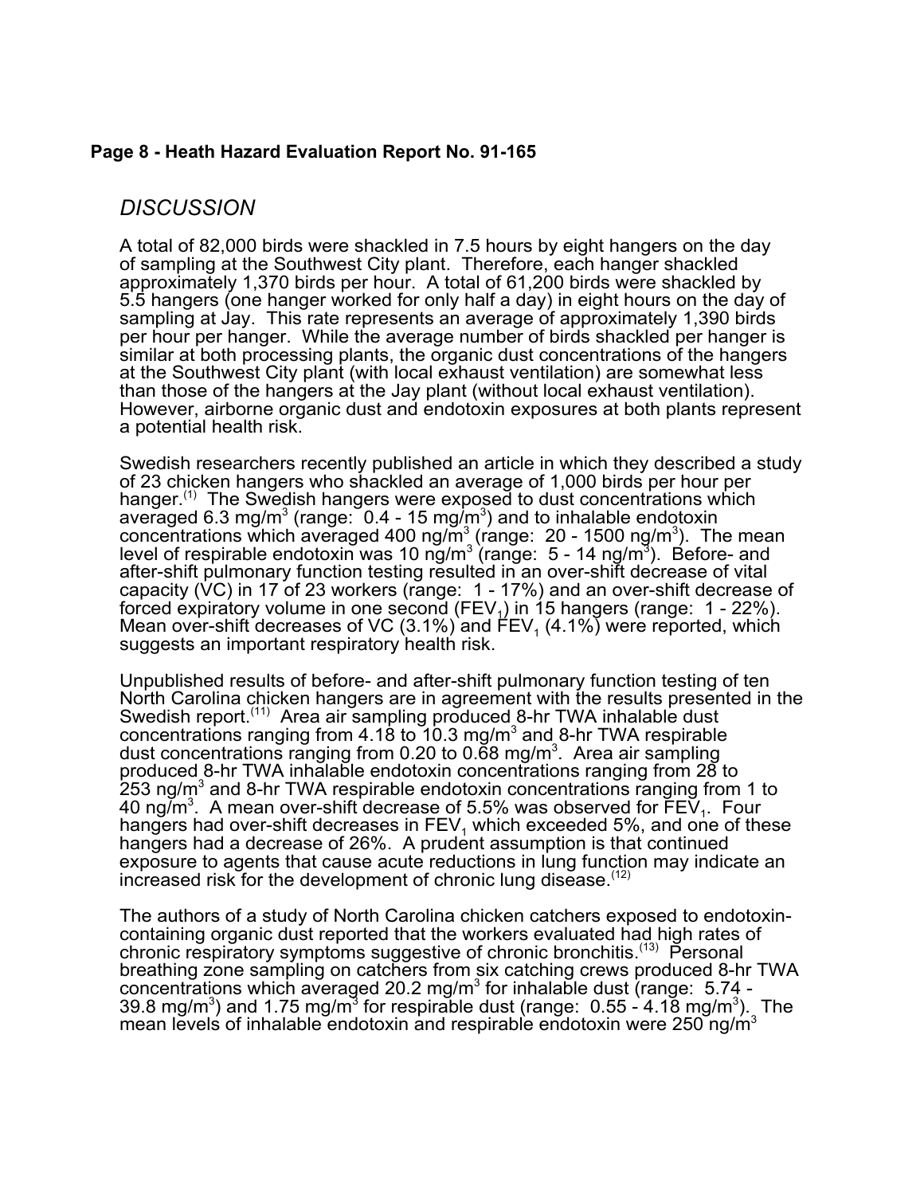#### **Page 8 - Heath Hazard Evaluation Report No. 91-165**

#### *DISCUSSION*

A total of 82,000 birds were shackled in 7.5 hours by eight hangers on the day of sampling at the Southwest City plant. Therefore, each hanger shackled approximately 1,370 birds per hour. A total of 61,200 birds were shackled by 5.5 hangers (one hanger worked for only half a day) in eight hours on the day of sampling at Jay. This rate represents an average of approximately 1,390 birds per hour per hanger. While the average number of birds shackled per hanger is similar at both processing plants, the organic dust concentrations of the hangers at the Southwest City plant (with local exhaust ventilation) are somewhat less than those of the hangers at the Jay plant (without local exhaust ventilation). However, airborne organic dust and endotoxin exposures at both plants represent a potential health risk.

Swedish researchers recently published an article in which they described a study of 23 chicken hangers who shackled an average of 1,000 birds per hour per hanger.<sup>(1)</sup> The Swedish hangers were exposed to dust concentrations which averaged 6.3 mg/m $^3$  (range:  $\rm \tilde{O}.4$  - 15 mg/m $^3$ ) and to inhalable endotoxin concentrations which averaged 400 ng/m<sup>3</sup> (range: 20 - 1500 ng/m<sup>3</sup>). The mean level of respirable endotoxin was 10 ng/m<sup>3</sup> (range: 5 - 14 ng/m<sup>3</sup>). Before- and after-shift pulmonary function testing resulted in an over-shift decrease of vital capacity (VC) in 17 of 23 workers (range: 1 - 17%) and an over-shift decrease of forced expiratory volume in one second (FEV<sub>1</sub>) in 15 hangers (range:  $1 - 22\%$ ). Mean over-shift decreases of VC (3.1%) and  $FEV<sub>1</sub>$  (4.1%) were reported, which suggests an important respiratory health risk.

Unpublished results of before- and after-shift pulmonary function testing of ten North Carolina chicken hangers are in agreement with the results presented in the Swedish report.<sup>(11)</sup> Area air sampling produced 8-hr TWA inhalable dust concentrations ranging from 4.18 to 10.3 mg/m<sup>3</sup> and 8-hr TWA respirable dust concentrations ranging from 0.20 to 0.68 mg/m<sup>3</sup>. Area air sampling produced 8-hr TWA inhalable endotoxin concentrations ranging from 28 to 253 ng/m $^3$  and 8-hr TWA respirable endotoxin concentrations ranging from 1 to 40 ng/m $^3$ . A mean over-shift decrease of 5.5% was observed for  $\mathsf{\widetilde{F}EV}_{1}$ . Four hangers had over-shift decreases in  $FEV<sub>1</sub>$  which exceeded 5%, and one of these hangers had a decrease of 26%. A prudent assumption is that continued exposure to agents that cause acute reductions in lung function may indicate an increased risk for the development of chronic lung disease.<sup>(12)</sup>

The authors of a study of North Carolina chicken catchers exposed to endotoxincontaining organic dust reported that the workers evaluated had high rates of chronic respiratory symptoms suggestive of chronic bronchitis.<sup>(13)</sup> Personal breathing zone sampling on catchers from six catching crews produced 8-hr TWA concentrations which averaged 20.2 mg/m<sup>3</sup> for inhalable dust (range: 5.74 -39.8 mg/m<sup>3</sup>) and 1.75 mg/m<sup>3</sup> for respirable dust (range: 0.55 - 4.18 mg/m<sup>3</sup>). The mean levels of inhalable endotoxin and respirable endotoxin were 250 ng/m<sup>3</sup>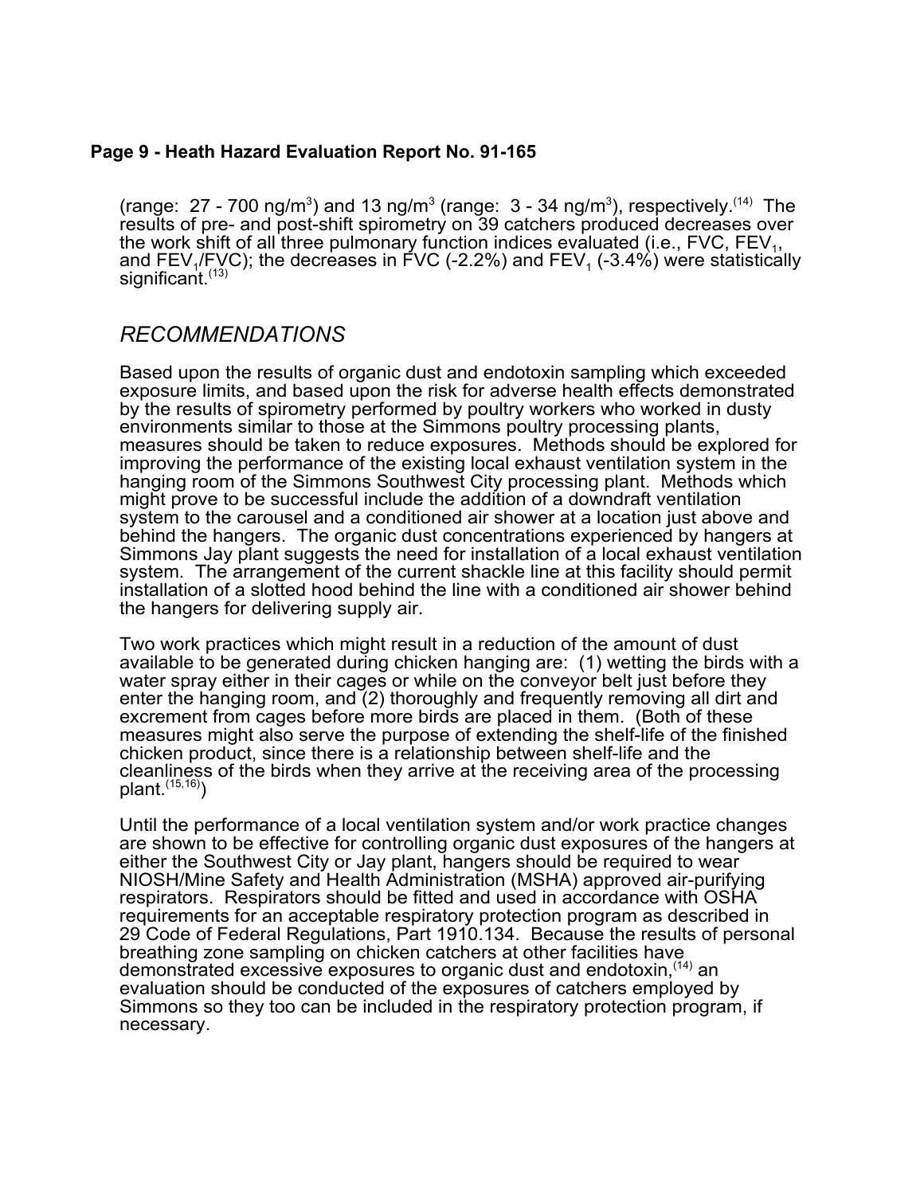#### **Page 9 - Heath Hazard Evaluation Report No. 91-165**

(range: 27 - 700 ng/m<sup>3</sup>) and 13 ng/m<sup>3</sup> (range: 3 - 34 ng/m<sup>3</sup>), respectively.<sup>(14)</sup> The results of pre- and post-shift spirometry on 39 catchers produced decreases over the work shift of all three pulmonary function indices evaluated (i.e.,  $FVC$ ,  $FEV<sub>1</sub>$ , and FEV<sub>1</sub>/FVC); the decreases in FVC (-2.2%) and FEV<sub>1</sub> (-3.4%) were statistically significant.<sup>(13)</sup>

#### *RECOMMENDATIONS*

Based upon the results of organic dust and endotoxin sampling which exceeded exposure limits, and based upon the risk for adverse health effects demonstrated by the results of spirometry performed by poultry workers who worked in dusty environments similar to those at the Simmons poultry processing plants, measures should be taken to reduce exposures. Methods should be explored for improving the performance of the existing local exhaust ventilation system in the hanging room of the Simmons Southwest City processing plant. Methods which might prove to be successful include the addition of a downdraft ventilation system to the carousel and a conditioned air shower at a location just above and behind the hangers. The organic dust concentrations experienced by hangers at Simmons Jay plant suggests the need for installation of a local exhaust ventilation system. The arrangement of the current shackle line at this facility should permit installation of a slotted hood behind the line with a conditioned air shower behind the hangers for delivering supply air.

Two work practices which might result in a reduction of the amount of dust available to be generated during chicken hanging are: (1) wetting the birds with a water spray either in their cages or while on the conveyor belt just before they enter the hanging room, and (2) thoroughly and frequently removing all dirt and excrement from cages before more birds are placed in them. (Both of these measures might also serve the purpose of extending the shelf-life of the finished chicken product, since there is a relationship between shelf-life and the cleanliness of the birds when they arrive at the receiving area of the processing plant.  $(15, 16)$ 

Until the performance of a local ventilation system and/or work practice changes are shown to be effective for controlling organic dust exposures of the hangers at either the Southwest City or Jay plant, hangers should be required to wear NIOSH/Mine Safety and Health Administration (MSHA) approved air-purifying respirators. Respirators should be fitted and used in accordance with OSHA requirements for an acceptable respiratory protection program as described in 29 Code of Federal Regulations, Part 1910.134. Because the results of personal breathing zone sampling on chicken catchers at other facilities have demonstrated excessive exposures to organic dust and endotoxin,(14) an evaluation should be conducted of the exposures of catchers employed by Simmons so they too can be included in the respiratory protection program, if necessary.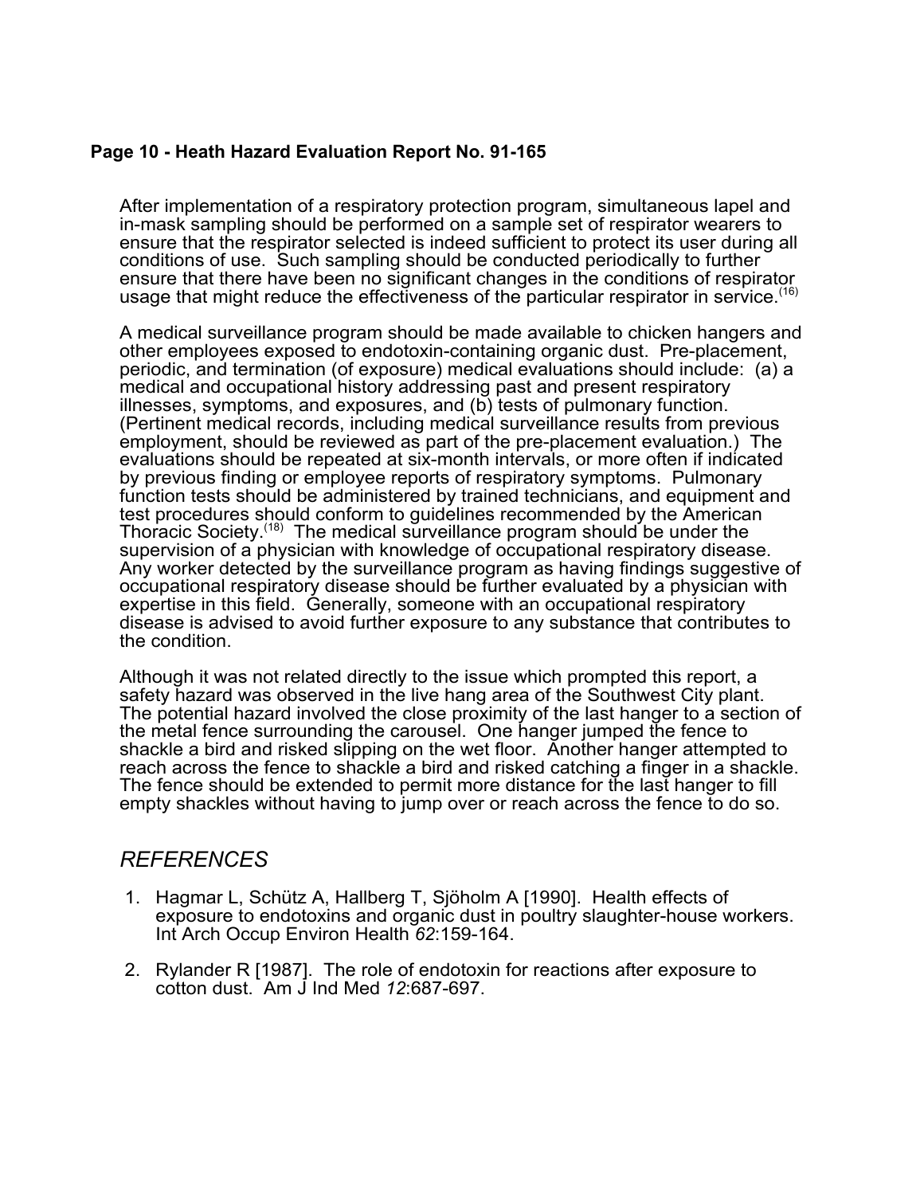#### **Page 10 - Heath Hazard Evaluation Report No. 91-165**

After implementation of a respiratory protection program, simultaneous lapel and in-mask sampling should be performed on a sample set of respirator wearers to ensure that the respirator selected is indeed sufficient to protect its user during all conditions of use. Such sampling should be conducted periodically to further ensure that there have been no significant changes in the conditions of respirator usage that might reduce the effectiveness of the particular respirator in service.<sup>(16)</sup>

A medical surveillance program should be made available to chicken hangers and other employees exposed to endotoxin-containing organic dust. Pre-placement, periodic, and termination (of exposure) medical evaluations should include: (a) a medical and occupational history addressing past and present respiratory illnesses, symptoms, and exposures, and (b) tests of pulmonary function. (Pertinent medical records, including medical surveillance results from previous employment, should be reviewed as part of the pre-placement evaluation.) The evaluations should be repeated at six-month intervals, or more often if indicated by previous finding or employee reports of respiratory symptoms. Pulmonary function tests should be administered by trained technicians, and equipment and test procedures should conform to guidelines recommended by the American Thoracic Society.<sup>(18)</sup> The medical surveillance program should be under the supervision of a physician with knowledge of occupational respiratory disease. Any worker detected by the surveillance program as having findings suggestive of occupational respiratory disease should be further evaluated by a physician with expertise in this field. Generally, someone with an occupational respiratory disease is advised to avoid further exposure to any substance that contributes to the condition.

Although it was not related directly to the issue which prompted this report, a safety hazard was observed in the live hang area of the Southwest City plant. The potential hazard involved the close proximity of the last hanger to a section of the metal fence surrounding the carousel. One hanger jumped the fence to shackle a bird and risked slipping on the wet floor. Another hanger attempted to reach across the fence to shackle a bird and risked catching a finger in a shackle. The fence should be extended to permit more distance for the last hanger to fill empty shackles without having to jump over or reach across the fence to do so.

#### *REFERENCES*

- 1. Hagmar L, Schütz A, Hallberg T, Sjöholm A [1990]. Health effects of exposure to endotoxins and organic dust in poultry slaughter-house workers. Int Arch Occup Environ Health *62*:159-164.
- 2. Rylander R [1987]. The role of endotoxin for reactions after exposure to cotton dust. Am J Ind Med *12*:687-697.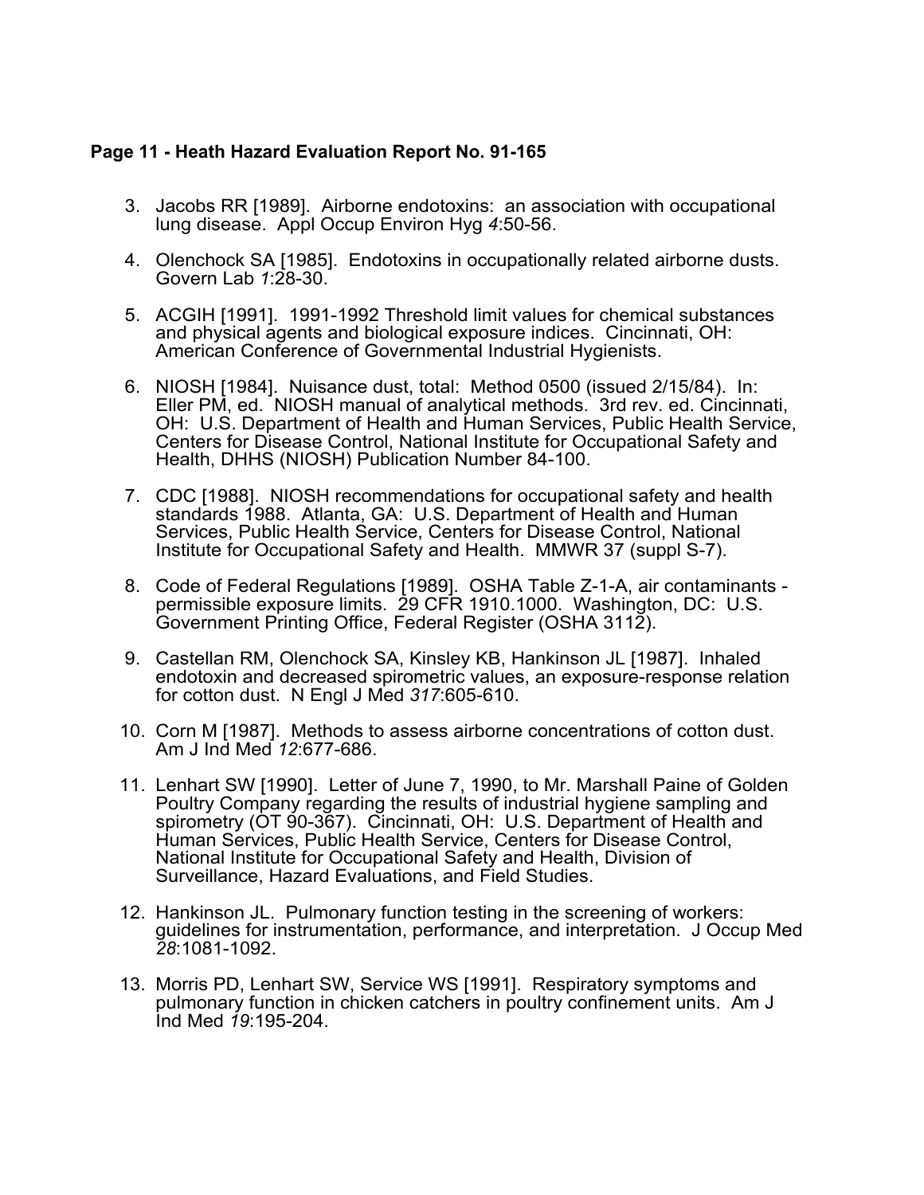#### **Page 11 - Heath Hazard Evaluation Report No. 91-165**

- 3. Jacobs RR [1989]. Airborne endotoxins: an association with occupational lung disease. Appl Occup Environ Hyg *4*:50-56.
- 4. Olenchock SA [1985]. Endotoxins in occupationally related airborne dusts. Govern Lab *1*:28-30.
- 5. ACGIH [1991]. 1991-1992 Threshold limit values for chemical substances and physical agents and biological exposure indices. Cincinnati, OH: American Conference of Governmental Industrial Hygienists.
- 6. NIOSH [1984]. Nuisance dust, total: Method 0500 (issued 2/15/84). In: Eller PM, ed. NIOSH manual of analytical methods. 3rd rev. ed. Cincinnati, OH: U.S. Department of Health and Human Services, Public Health Service, Centers for Disease Control, National Institute for Occupational Safety and Health, DHHS (NIOSH) Publication Number 84-100.
- 7. CDC [1988]. NIOSH recommendations for occupational safety and health standards 1988. Atlanta, GA: U.S. Department of Health and Human Services, Public Health Service, Centers for Disease Control, National Institute for Occupational Safety and Health. MMWR 37 (suppl S-7).
- 8. Code of Federal Regulations [1989]. OSHA Table Z-1-A, air contaminants permissible exposure limits. 29 CFR 1910.1000. Washington, DC: U.S. Government Printing Office, Federal Register (OSHA 3112).
- 9. Castellan RM, Olenchock SA, Kinsley KB, Hankinson JL [1987]. Inhaled endotoxin and decreased spirometric values, an exposure-response relation for cotton dust. N Engl J Med *317*:605-610.
- 10. Corn M [1987]. Methods to assess airborne concentrations of cotton dust. Am J Ind Med *12*:677-686.
- 11. Lenhart SW [1990]. Letter of June 7, 1990, to Mr. Marshall Paine of Golden Poultry Company regarding the results of industrial hygiene sampling and spirometry (OT 90-367). Cincinnati, OH: U.S. Department of Health and Human Services, Public Health Service, Centers for Disease Control, National Institute for Occupational Safety and Health, Division of Surveillance, Hazard Evaluations, and Field Studies.
- 12. Hankinson JL. Pulmonary function testing in the screening of workers: guidelines for instrumentation, performance, and interpretation. J Occup Med *28*:1081-1092.
- 13. Morris PD, Lenhart SW, Service WS [1991]. Respiratory symptoms and pulmonary function in chicken catchers in poultry confinement units. Am J Ind Med *19*:195-204.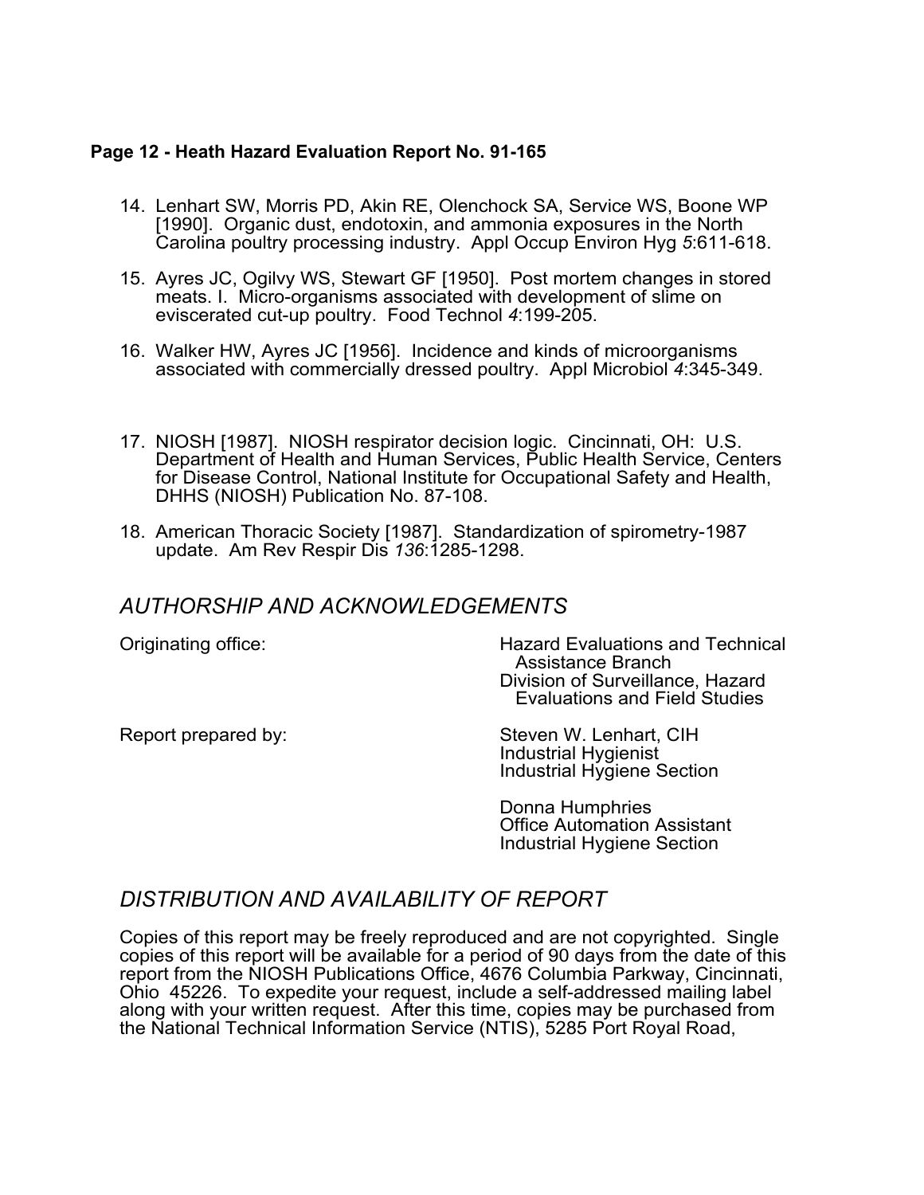#### **Page 12 - Heath Hazard Evaluation Report No. 91-165**

- 14. Lenhart SW, Morris PD, Akin RE, Olenchock SA, Service WS, Boone WP [1990]. Organic dust, endotoxin, and ammonia exposures in the North Carolina poultry processing industry. Appl Occup Environ Hyg *5*:611-618.
- 15. Ayres JC, Ogilvy WS, Stewart GF [1950]. Post mortem changes in stored meats. I. Micro-organisms associated with development of slime on eviscerated cut-up poultry. Food Technol *4*:199-205.
- 16. Walker HW, Ayres JC [1956]. Incidence and kinds of microorganisms associated with commercially dressed poultry. Appl Microbiol *4*:345-349.
- 17. NIOSH [1987]. NIOSH respirator decision logic. Cincinnati, OH: U.S. Department of Health and Human Services, Public Health Service, Centers for Disease Control, National Institute for Occupational Safety and Health, DHHS (NIOSH) Publication No. 87-108.
- 18. American Thoracic Society [1987]. Standardization of spirometry-1987 update. Am Rev Respir Dis *136*:1285-1298.

#### *AUTHORSHIP AND ACKNOWLEDGEMENTS*

Originating office: Hazard Evaluations and Technical Assistance Branch Division of Surveillance, Hazard Evaluations and Field Studies

Report prepared by: Steven W. Lenhart, CIH Industrial Hygienist Industrial Hygiene Section

> Donna Humphries Office Automation Assistant Industrial Hygiene Section

#### *DISTRIBUTION AND AVAILABILITY OF REPORT*

Copies of this report may be freely reproduced and are not copyrighted. Single copies of this report will be available for a period of 90 days from the date of this report from the NIOSH Publications Office, 4676 Columbia Parkway, Cincinnati, Ohio 45226. To expedite your request, include a self-addressed mailing label along with your written request. After this time, copies may be purchased from the National Technical Information Service (NTIS), 5285 Port Royal Road,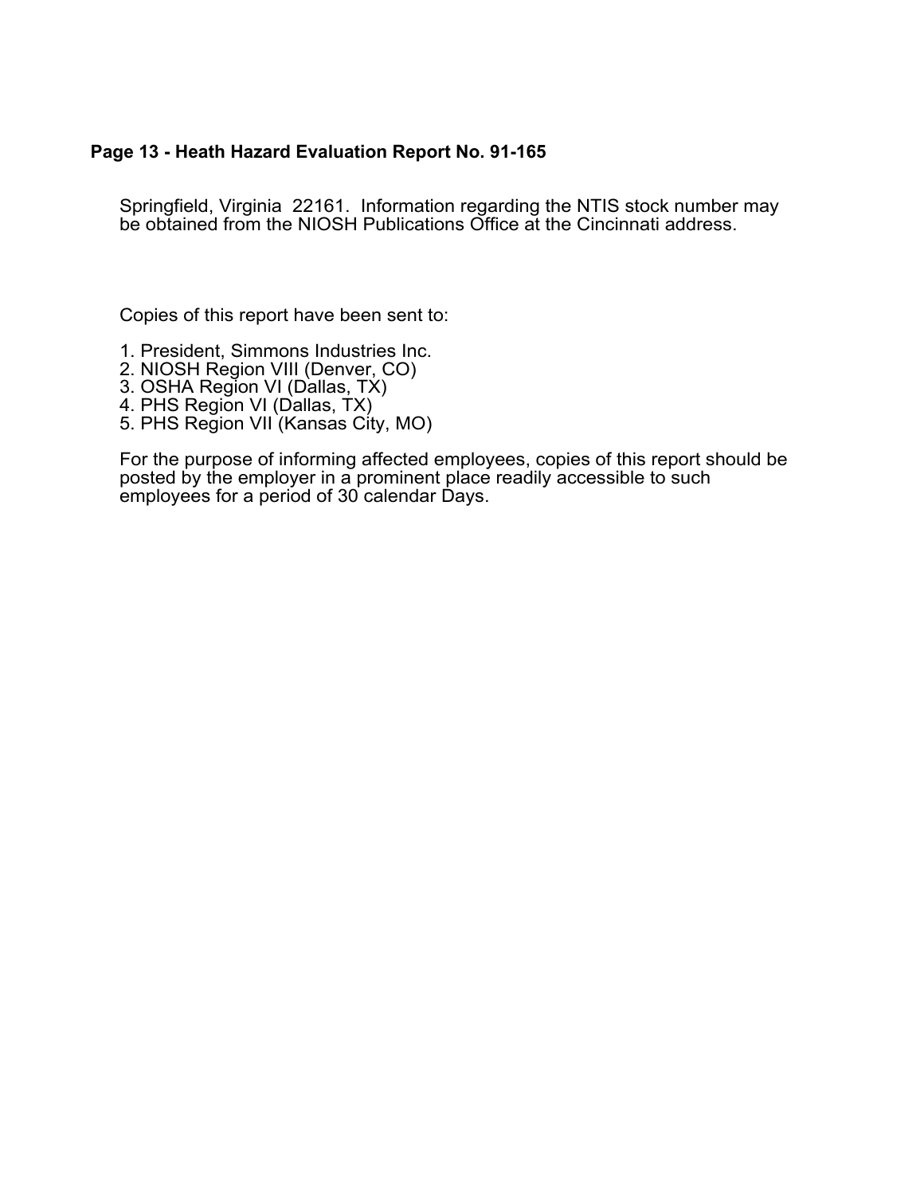#### **Page 13 - Heath Hazard Evaluation Report No. 91-165**

Springfield, Virginia 22161. Information regarding the NTIS stock number may be obtained from the NIOSH Publications Office at the Cincinnati address.

Copies of this report have been sent to:

- 1. President, Simmons Industries Inc.
- 2. NIOSH Region VIII (Denver, CO)
- 3. OSHA Region VI (Dallas, TX)
- 4. PHS Region VI (Dallas, TX)
- 5. PHS Region VII (Kansas City, MO)

For the purpose of informing affected employees, copies of this report should be posted by the employer in a prominent place readily accessible to such employees for a period of 30 calendar Days.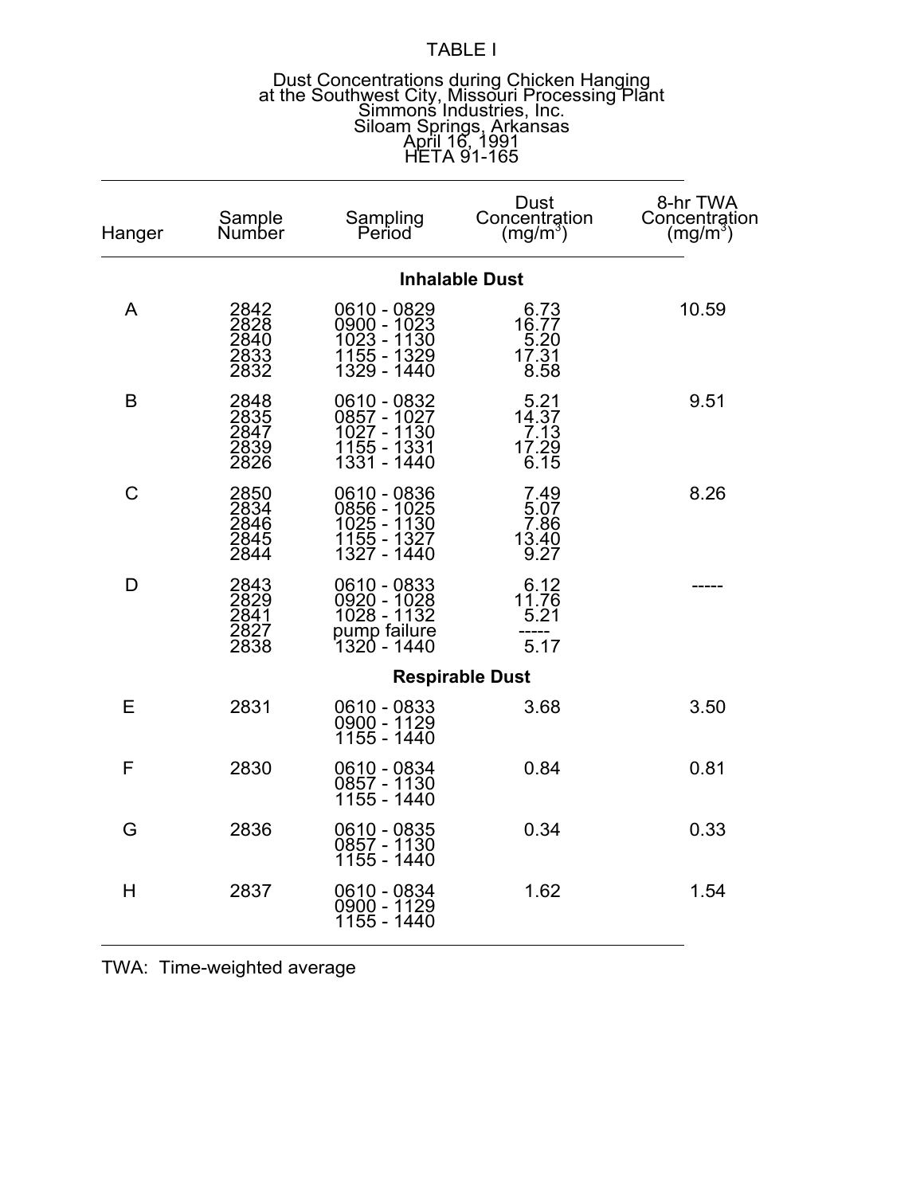#### TABLE I

## Dust Concentrations during Chicken Hanging at the Southwest City, Missouri Processing Plant<br>Simmons Industries, Inc.<br>Siloam Springs, Arkansas<br>April 16, 1991 HETA 91-165

| Hanger | Sample<br>Number                     | Sampling<br>Period                                                                  | Dust<br>Concentration<br>(mg/m <sup>3</sup> )       | 8-hr TWA<br>Concentration<br>(mg/m <sup>3</sup> ) |
|--------|--------------------------------------|-------------------------------------------------------------------------------------|-----------------------------------------------------|---------------------------------------------------|
|        |                                      |                                                                                     | <b>Inhalable Dust</b>                               |                                                   |
| A      | 2842<br>2828<br>2840<br>2833<br>2832 | 0610 - 0829<br>0900 - 1023<br>$1023 - 1130$<br>1155 - 1329<br>1329 - 1440           | 6.73<br>16.77<br>5.20<br>17.31<br>8.58              | 10.59                                             |
| B      | 2848<br>2835<br>2847<br>2839<br>2826 | 0610 - 0832<br>0857 - 1027<br>$1027 - 1130$<br>1155 - 1331<br>1331 - 1440           | 5.21<br>14.37<br>7.13<br>17.29<br>$6.\overline{15}$ | 9.51                                              |
| C      | 2850<br>2834<br>2846<br>2845<br>2844 | 0610 - 0836<br>0856 - 1025<br>$1025 - 1130$<br><u> 1155</u> - 1327<br>$1327 - 1440$ | 7.49<br>5.07<br>7.86<br>13.40<br>9.27               | 8.26                                              |
| D      | 2843<br>2829<br>2841<br>2827<br>2838 | 0610 - 0833<br>0920 - 1028<br>$1028 - 1132$<br>pump failure<br>1320 - 1440          | 6.12<br>11.76<br>5.21<br>-----<br>5.17              |                                                   |
|        |                                      |                                                                                     | <b>Respirable Dust</b>                              |                                                   |
| Е      | 2831                                 | 0610 - 0833<br>$0900 - 1129$<br>1155 - 1440                                         | 3.68                                                | 3.50                                              |
| F      | 2830                                 | 0610 - 0834<br>0857 - 1130<br>1155 - 1440                                           | 0.84                                                | 0.81                                              |
| G      | 2836                                 | 0610 - 0835<br>0857 - 1130<br>1155 - 1440                                           | 0.34                                                | 0.33                                              |
| H      | 2837                                 | 0610 - 0834<br>0900 - 1129<br>1155 - 1440                                           | 1.62                                                | 1.54                                              |

TWA: Time-weighted average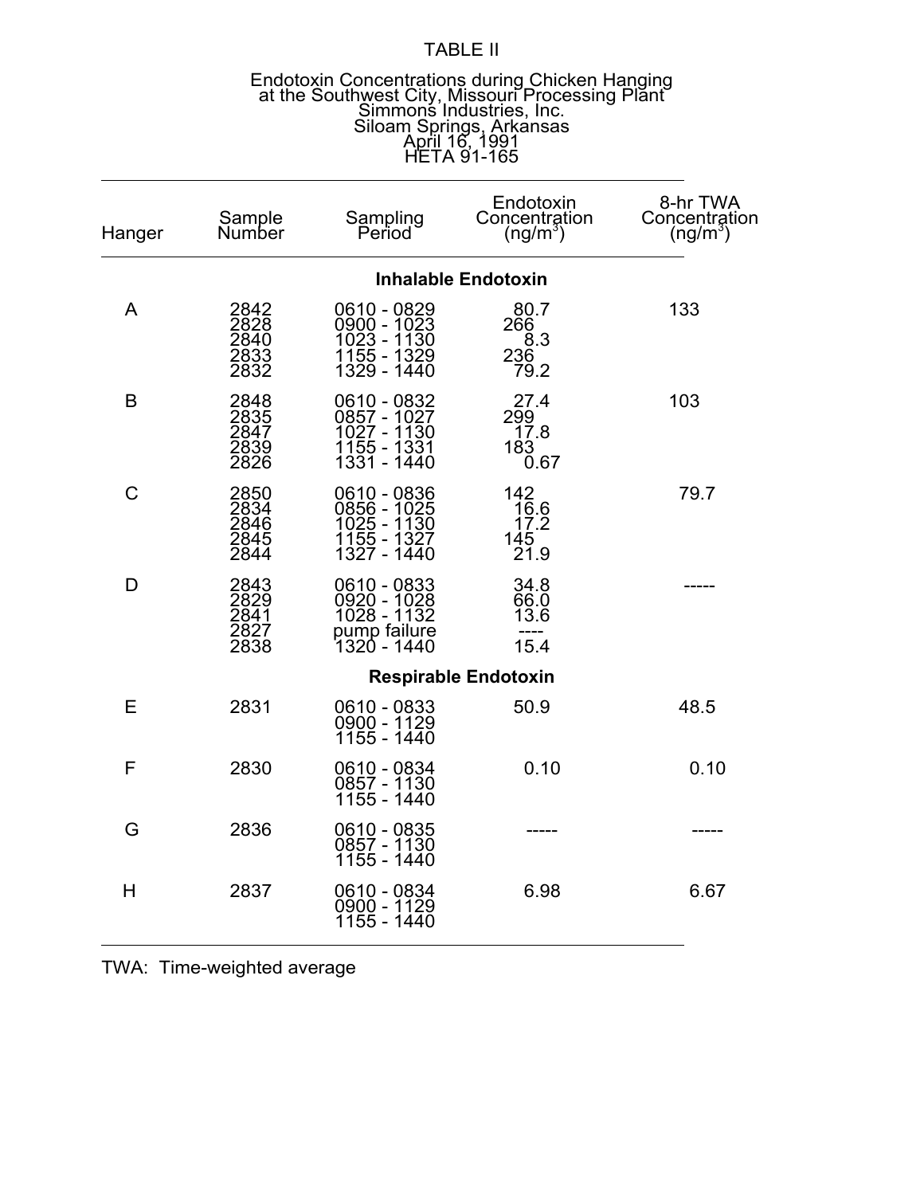#### TABLE II

## Endotoxin Concentrations during Chicken Hanging at the Southwest City, Missouri Processing Plant<br>Simmons Industries, Inc.<br>Siloam Springs, Arkansas<br>April 16, 1991 HETA 91-165

| Hanger | Sample<br>Number                                  | Sampling<br>Period                                                         | Endotoxin<br>Concentration<br>(ng/m <sup>3</sup> ) | 8-hr TWA<br>Concentration<br>$(ng/m^3)$ |
|--------|---------------------------------------------------|----------------------------------------------------------------------------|----------------------------------------------------|-----------------------------------------|
|        |                                                   |                                                                            | <b>Inhalable Endotoxin</b>                         |                                         |
| A      | 2842<br>2828<br>2840<br>2833<br>2832              | 0610 - 0829<br>0900 - 1023<br>1023 - 1130<br>1155 - 1329<br>1329 - 1440    | 80.7<br>266<br>8.3<br>236<br>79.2                  | 133                                     |
| B      | 2848<br>2835<br>$\overline{2}847$<br>2839<br>2826 | 0610 - 0832<br>0857 - 1027<br>1027 - 1130<br>1155 - 1331<br>1331 - 1440    | 27.4<br>299<br>17.8<br>183<br>0.67                 | 103                                     |
| C      | 2850<br>2834<br>2846<br>2845<br>2844              | 0610 - 0836<br>0856 - 1025<br>1025 - 1130<br>1155 - 1327<br>1327 - 1440    | 142<br>16.6<br>$17.\overline{2}$<br>145<br>21.9    | 79.7                                    |
| D      | 2843<br>2829<br>2841<br>2827<br>2838              | 0610 - 0833<br>0920 - 1028<br>$1028 - 1132$<br>pump failure<br>1320 - 1440 | 34.8<br>66.0<br>13.6<br>15.4                       | -----                                   |
|        |                                                   |                                                                            | <b>Respirable Endotoxin</b>                        |                                         |
| Е      | 2831                                              | 0610 - 0833<br>0900 - 1129<br>1155 - 1440                                  | 50.9                                               | 48.5                                    |
| F      | 2830                                              | 0610 - 0834<br>0857 - 1130<br>1155 - 1440                                  | 0.10                                               | 0.10                                    |
| G      | 2836                                              | 0610 - 0835<br>0857 - 1130<br>1155 - 1440                                  |                                                    |                                         |
| H      | 2837                                              | 0610 - 0834<br>0900 - 1129<br>1155 - 1440                                  | 6.98                                               | 6.67                                    |

TWA: Time-weighted average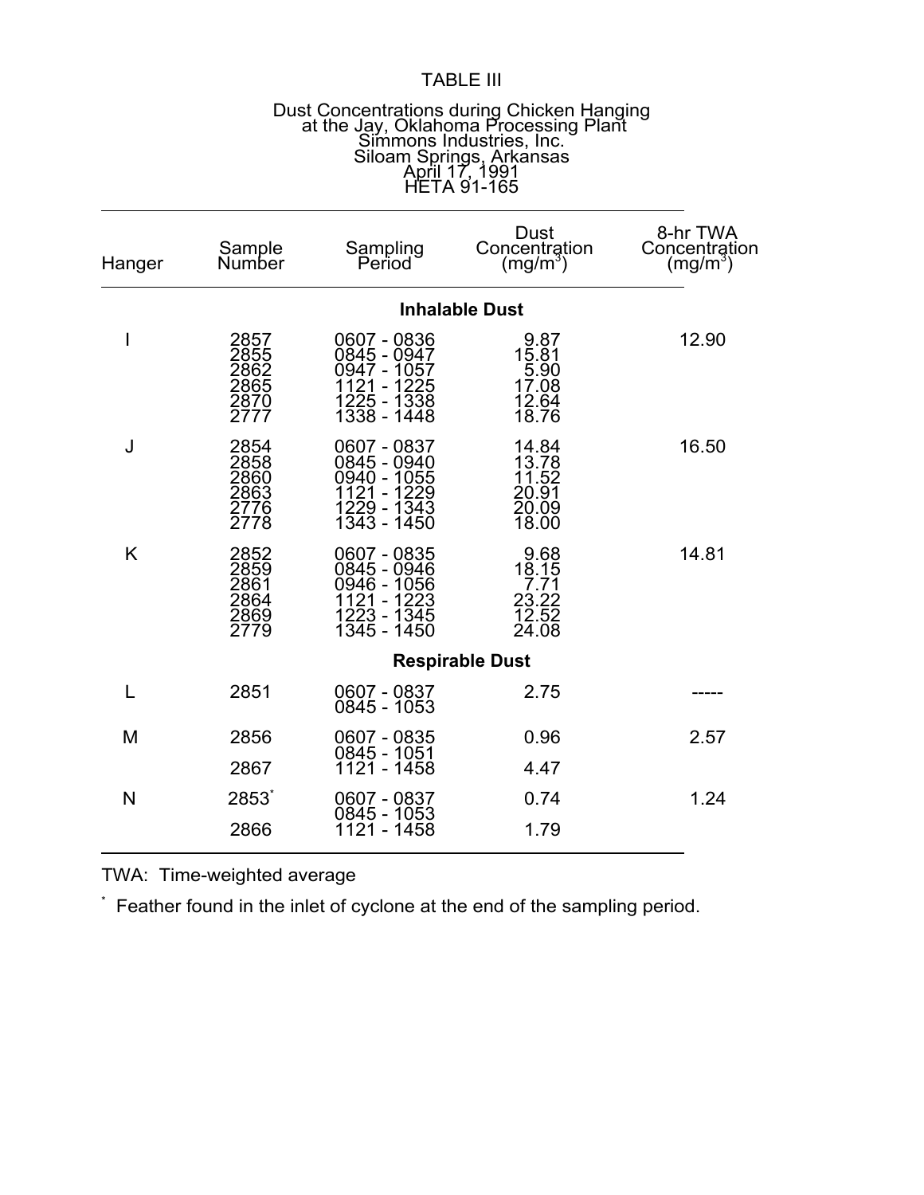#### TABLE III

# Dust Concentrations during Chicken Hanging<br>at the Jay, Oklahoma Processing Plant<br>Siloam Springs, Arkansas<br>April 17, 1991 HETA 91-165

| Hanger | Sample<br>Number                             | Sampling<br>Period                                                                     | Dust<br>Concentration<br>(mg/m <sup>3</sup> )                 | 8-hr TWA<br>Concentration<br>(mg/m <sup>3</sup> ) |      |
|--------|----------------------------------------------|----------------------------------------------------------------------------------------|---------------------------------------------------------------|---------------------------------------------------|------|
|        |                                              |                                                                                        | <b>Inhalable Dust</b>                                         |                                                   |      |
| I      | 2857<br>2855<br>2862<br>2865<br>2870<br>2777 | 0607 - 0836<br>0845 - 0947<br>0947 - 1057<br>1121 - 1225<br>1225 - 1338<br>1338 - 1448 | 9.87<br>15.81<br>5.90<br>17.08<br>12.64<br>18.76              | 12.90                                             |      |
| J      | 2854<br>2858<br>2860<br>2863<br>2776<br>2778 | 0607 - 0837<br>0845 - 0940<br>0940 - 1055<br>1121 - 1229<br>1229 - 1343<br>1343 - 1450 | 14.84<br>13.78<br>11.52<br>20.91<br>20.09<br>18.00            | 16.50                                             |      |
| K      | 2852<br>2859<br>2861<br>2864<br>2869<br>2779 | 0607 - 0835<br>0845 - 0946<br>0946 - 1056<br>1121 - 1223<br>1223 - 1345<br>1345 - 1450 | 9.68<br>18.15<br>7.71<br>23.22<br>$\overline{12.52}$<br>24.08 | 14.81                                             |      |
|        |                                              |                                                                                        | <b>Respirable Dust</b>                                        |                                                   |      |
| L      | 2851                                         | 0607 - 0837<br>$0845 - 1053$                                                           | 2.75                                                          |                                                   |      |
| M      | 2856                                         | 0607 - 0835<br>0845 - 1051                                                             | 0.96                                                          | 2.57                                              |      |
|        | 2867                                         | 1121 - 1458                                                                            | 4.47                                                          |                                                   |      |
| N      |                                              | 2853                                                                                   | 0607 - 0837                                                   | 0.74                                              | 1.24 |
|        | 2866                                         | 0845 - 1053<br>1121 - 1458                                                             | 1.79                                                          |                                                   |      |

TWA: Time-weighted average

\* Feather found in the inlet of cyclone at the end of the sampling period.